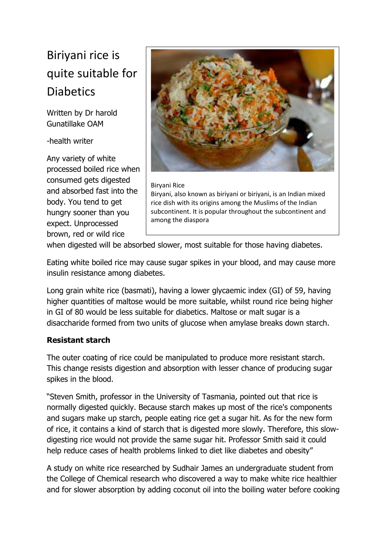# Biriyani rice is quite suitable for **Diabetics**

Written by Dr harold Gunatillake OAM

-health writer

Any variety of white processed boiled rice when consumed gets digested and absorbed fast into the body. You tend to get hungry sooner than you expect. Unprocessed brown, red or wild rice



#### Biryani Rice Biryani, also known as biriyani or biriyani, is an Indian mixed rice dish with its origins among the Muslims of the Indian subcontinent. It is popular throughout the subcontinent and among the diaspora

when digested will be absorbed slower, most suitable for those having diabetes.

Eating white boiled rice may cause sugar spikes in your blood, and may cause more insulin resistance among diabetes.

Long grain white rice (basmati), having a lower glycaemic index (GI) of 59, having higher quantities of maltose would be more suitable, whilst round rice being higher in GI of 80 would be less suitable for diabetics. Maltose or malt sugar is a disaccharide formed from two units of glucose when amylase breaks down starch.

# **Resistant starch**

The outer coating of rice could be manipulated to produce more resistant starch. This change resists digestion and absorption with lesser chance of producing sugar spikes in the blood.

"Steven Smith, professor in the University of Tasmania, pointed out that rice is normally digested quickly. Because starch makes up most of the rice's components and sugars make up starch, people eating rice get a sugar hit. As for the new form of rice, it contains a kind of starch that is digested more slowly. Therefore, this slowdigesting rice would not provide the same sugar hit. Professor Smith said it could help reduce cases of health problems linked to diet like diabetes and obesity"

A study on white rice researched by Sudhair James an undergraduate student from the College of Chemical research who discovered a way to make white rice healthier and for slower absorption by adding coconut oil into the boiling water before cooking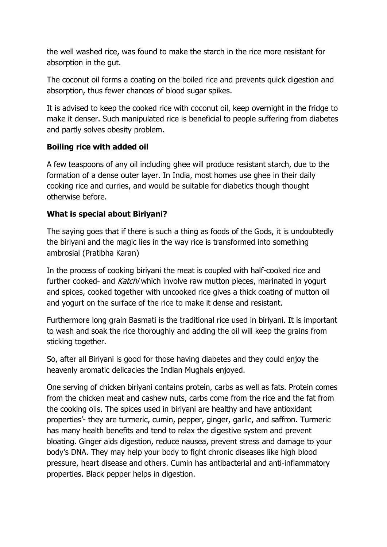the well washed rice, was found to make the starch in the rice more resistant for absorption in the gut.

The coconut oil forms a coating on the boiled rice and prevents quick digestion and absorption, thus fewer chances of blood sugar spikes.

It is advised to keep the cooked rice with coconut oil, keep overnight in the fridge to make it denser. Such manipulated rice is beneficial to people suffering from diabetes and partly solves obesity problem.

## **Boiling rice with added oil**

A few teaspoons of any oil including ghee will produce resistant starch, due to the formation of a dense outer layer. In India, most homes use ghee in their daily cooking rice and curries, and would be suitable for diabetics though thought otherwise before.

## **What is special about Biriyani?**

The saying goes that if there is such a thing as foods of the Gods, it is undoubtedly the biriyani and the magic lies in the way rice is transformed into something ambrosial (Pratibha Karan)

In the process of cooking biriyani the meat is coupled with half-cooked rice and further cooked- and Katchi which involve raw mutton pieces, marinated in yogurt and spices, cooked together with uncooked rice gives a thick coating of mutton oil and yogurt on the surface of the rice to make it dense and resistant.

Furthermore long grain Basmati is the traditional rice used in biriyani. It is important to wash and soak the rice thoroughly and adding the oil will keep the grains from sticking together.

So, after all Biriyani is good for those having diabetes and they could enjoy the heavenly aromatic delicacies the Indian Mughals enjoyed.

One serving of chicken biriyani contains protein, carbs as well as fats. Protein comes from the chicken meat and cashew nuts, carbs come from the rice and the fat from the cooking oils. The spices used in biriyani are healthy and have antioxidant properties'- they are turmeric, cumin, pepper, ginger, garlic, and saffron. Turmeric has many health benefits and tend to relax the digestive system and prevent bloating. Ginger aids digestion, reduce nausea, prevent stress and damage to your body's DNA. They may help your body to fight chronic diseases like high blood pressure, heart disease and others. Cumin has antibacterial and anti-inflammatory properties. Black pepper helps in digestion.